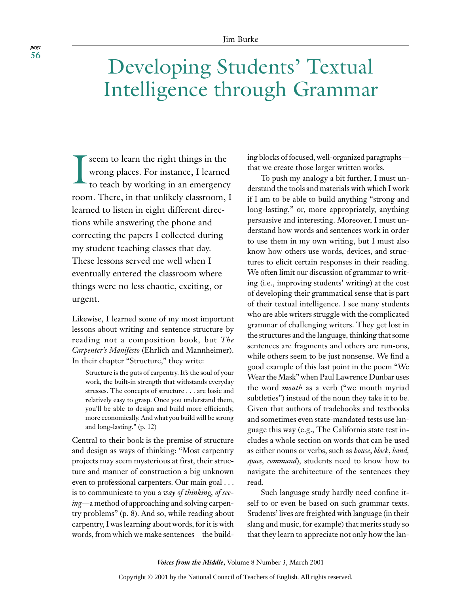# Developing Students' Textual Intelligence through Grammar

I seem to learn the right things in the wrong places. For instance, I learned to teach by working in an emergency room. There, in that unlikely classroom, I learned to listen in eight different directions while answering the phone and correcting the papers I collected during my student teaching classes that day. These lessons served me well when I eventually entered the classroom where things were no less chaotic, exciting, or urgent.

Likewise, I learned some of my most important lessons about writing and sentence structure by reading not a composition book, but *The Carpenter's Manifesto* (Ehrlich and Mannheimer). In their chapter "Structure," they write:

Structure is the guts of carpentry. It's the soul of your work, the built-in strength that withstands everyday stresses. The concepts of structure . . . are basic and relatively easy to grasp. Once you understand them, you'll be able to design and build more efficiently, more economically. And what you build will be strong and long-lasting." (p. 12)

Central to their book is the premise of structure and design as ways of thinking: "Most carpentry projects may seem mysterious at first, their structure and manner of construction a big unknown even to professional carpenters. Our main goal . . . is to communicate to you a *way of thinking, of seeing*—a method of approaching and solving carpentry problems" (p. 8). And so, while reading about carpentry, I was learning about words, for it is with words, from which we make sentences—the building blocks of focused, well-organized paragraphs that we create those larger written works.

To push my analogy a bit further, I must understand the tools and materials with which I work if I am to be able to build anything "strong and long-lasting," or, more appropriately, anything persuasive and interesting. Moreover, I must understand how words and sentences work in order to use them in my own writing, but I must also know how others use words, devices, and structures to elicit certain responses in their reading. We often limit our discussion of grammar to writing (i.e., improving students' writing) at the cost of developing their grammatical sense that is part of their textual intelligence. I see many students who are able writers struggle with the complicated grammar of challenging writers. They get lost in the structures and the language, thinking that some sentences are fragments and others are run-ons, while others seem to be just nonsense. We find a good example of this last point in the poem "We Wear the Mask" when Paul Lawrence Dunbar uses the word *mouth* as a verb ("we mouth myriad subtleties") instead of the noun they take it to be. Given that authors of tradebooks and textbooks and sometimes even state-mandated tests use language this way (e.g., The California state test includes a whole section on words that can be used as either nouns or verbs, such as *house*, *block*, *band, space, command*), students need to know how to navigate the architecture of the sentences they read.

Such language study hardly need confine itself to or even be based on such grammar texts. Students' lives are freighted with language (in their slang and music, for example) that merits study so that they learn to appreciate not only how the lan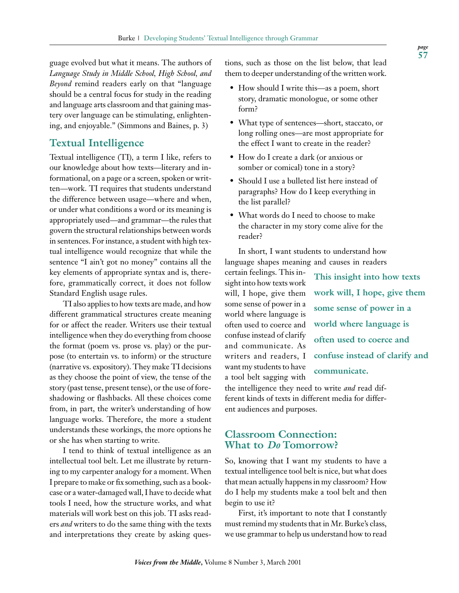guage evolved but what it means. The authors of *Language Study in Middle School, High School, and Beyond* remind readers early on that "language should be a central focus for study in the reading and language arts classroom and that gaining mastery over language can be stimulating, enlightening, and enjoyable." (Simmons and Baines, p. 3)

# **Textual Intelligence**

Textual intelligence (TI), a term I like, refers to our knowledge about how texts—literary and informational, on a page or a screen, spoken or written—work. TI requires that students understand the difference between usage—where and when, or under what conditions a word or its meaning is appropriately used—and grammar—the rules that govern the structural relationships between words in sentences. For instance, a student with high textual intelligence would recognize that while the sentence "I ain't got no money" contains all the key elements of appropriate syntax and is, therefore, grammatically correct, it does not follow Standard English usage rules.

TI also applies to how texts are made, and how different grammatical structures create meaning for or affect the reader. Writers use their textual intelligence when they do everything from choose the format (poem vs. prose vs. play) or the purpose (to entertain vs. to inform) or the structure (narrative vs. expository). They make TI decisions as they choose the point of view, the tense of the story (past tense, present tense), or the use of foreshadowing or flashbacks. All these choices come from, in part, the writer's understanding of how language works. Therefore, the more a student understands these workings, the more options he or she has when starting to write.

I tend to think of textual intelligence as an intellectual tool belt. Let me illustrate by returning to my carpenter analogy for a moment. When I prepare to make or fix something, such as a bookcase or a water-damaged wall, I have to decide what tools I need, how the structure works, and what materials will work best on this job. TI asks readers *and* writers to do the same thing with the texts and interpretations they create by asking questions, such as those on the list below, that lead them to deeper understanding of the written work.

- How should I write this—as a poem, short story, dramatic monologue, or some other form?
- What type of sentences—short, staccato, or long rolling ones—are most appropriate for the effect I want to create in the reader?
- How do I create a dark (or anxious or somber or comical) tone in a story?
- Should I use a bulleted list here instead of paragraphs? How do I keep everything in the list parallel?
- What words do I need to choose to make the character in my story come alive for the reader?

In short, I want students to understand how language shapes meaning and causes in readers

certain feelings. This insight into how texts work will, I hope, give them some sense of power in a world where language is often used to coerce and confuse instead of clarify and communicate. As writers and readers, I want my students to have a tool belt sagging with

**This insight into how texts work will, I hope, give them some sense of power in a world where language is often used to coerce and confuse instead of clarify and communicate.**

the intelligence they need to write *and* read different kinds of texts in different media for different audiences and purposes.

# **Classroom Connection: What to** *Do* **Tomorrow?**

So, knowing that I want my students to have a textual intelligence tool belt is nice, but what does that mean actually happens in my classroom? How do I help my students make a tool belt and then begin to use it?

First, it's important to note that I constantly must remind my students that in Mr. Burke's class, we use grammar to help us understand how to read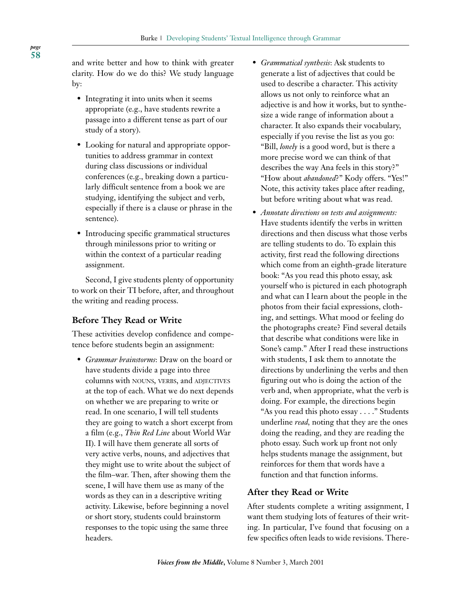and write better and how to think with greater clarity. How do we do this? We study language by:

- Integrating it into units when it seems appropriate (e.g., have students rewrite a passage into a different tense as part of our study of a story).
- Looking for natural and appropriate opportunities to address grammar in context during class discussions or individual conferences (e.g., breaking down a particularly difficult sentence from a book we are studying, identifying the subject and verb, especially if there is a clause or phrase in the sentence).
- Introducing specific grammatical structures through minilessons prior to writing or within the context of a particular reading assignment.

Second, I give students plenty of opportunity to work on their TI before, after, and throughout the writing and reading process.

## **Before They Read or Write**

These activities develop confidence and competence before students begin an assignment:

• *Grammar brainstorms*: Draw on the board or have students divide a page into three columns with NOUNS, VERBS, and ADJECTIVES at the top of each. What we do next depends on whether we are preparing to write or read. In one scenario, I will tell students they are going to watch a short excerpt from a film (e.g., *Thin Red Line* about World War II). I will have them generate all sorts of very active verbs, nouns, and adjectives that they might use to write about the subject of the film–war. Then, after showing them the scene, I will have them use as many of the words as they can in a descriptive writing activity. Likewise, before beginning a novel or short story, students could brainstorm responses to the topic using the same three headers.

- *Grammatical synthesis*: Ask students to generate a list of adjectives that could be used to describe a character. This activity allows us not only to reinforce what an adjective is and how it works, but to synthesize a wide range of information about a character. It also expands their vocabulary, especially if you revise the list as you go: "Bill, *lonely* is a good word, but is there a more precise word we can think of that describes the way Ana feels in this story?" "How about *abandoned*?" Kody offers. "Yes!" Note, this activity takes place after reading, but before writing about what was read.
- *Annotate directions on tests and assignments:* Have students identify the verbs in written directions and then discuss what those verbs are telling students to do. To explain this activity, first read the following directions which come from an eighth-grade literature book: "As you read this photo essay, ask yourself who is pictured in each photograph and what can I learn about the people in the photos from their facial expressions, clothing, and settings. What mood or feeling do the photographs create? Find several details that describe what conditions were like in Sone's camp." After I read these instructions with students, I ask them to annotate the directions by underlining the verbs and then figuring out who is doing the action of the verb and, when appropriate, what the verb is doing. For example, the directions begin "As you read this photo essay . . . ." Students underline *read,* noting that they are the ones doing the reading, and they are reading the photo essay. Such work up front not only helps students manage the assignment, but reinforces for them that words have a function and that function informs.

## **After they Read or Write**

After students complete a writing assignment, I want them studying lots of features of their writing. In particular, I've found that focusing on a few specifics often leads to wide revisions. There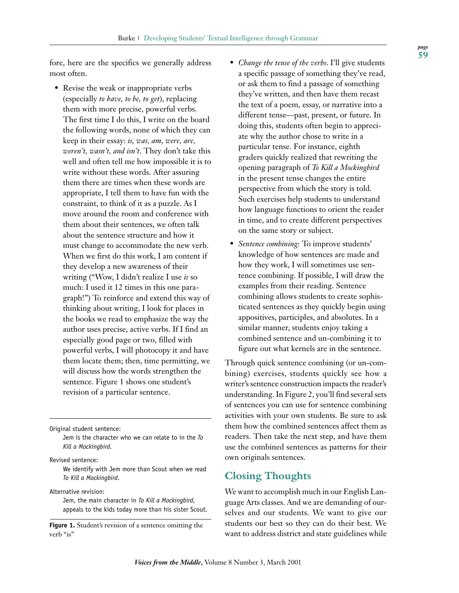fore, here are the specifics we generally address most often.

• Revise the weak or inappropriate verbs (especially *to have, to be, to get*), replacing them with more precise, powerful verbs. The first time I do this, I write on the board the following words, none of which they can keep in their essay: *is, was, am, were, are, weren't, wasn't, and isn't*. They don't take this well and often tell me how impossible it is to write without these words. After assuring them there are times when these words are appropriate, I tell them to have fun with the constraint, to think of it as a puzzle. As I move around the room and conference with them about their sentences, we often talk about the sentence structure and how it must change to accommodate the new verb. When we first do this work, I am content if they develop a new awareness of their writing ("Wow, I didn't realize I use *is* so much: I used it 12 times in this one paragraph!") To reinforce and extend this way of thinking about writing, I look for places in the books we read to emphasize the way the author uses precise, active verbs. If I find an especially good page or two, filled with powerful verbs, I will photocopy it and have them locate them; then, time permitting, we will discuss how the words strengthen the sentence. Figure 1 shows one student's revision of a particular sentence.

Original student sentence:

Jem is the character who we can relate to in the *To Kill a Mockingbird.*

Revised sentence:

We identify with Jem more than Scout when we read *To Kill a Mockingbird*.

Alternative revision:

Jem, the main character in *To Kill a Mockingbird*, appeals to the kids today more than his sister Scout.

Figure 1. Student's revision of a sentence omitting the verb "is"

- *Change the tense of the verbs*. I'll give students a specific passage of something they've read, or ask them to find a passage of something they've written, and then have them recast the text of a poem, essay, or narrative into a different tense—past, present, or future. In doing this, students often begin to appreciate why the author chose to write in a particular tense. For instance, eighth graders quickly realized that rewriting the opening paragraph of *To Kill a Mockingbird* in the present tense changes the entire perspective from which the story is told. Such exercises help students to understand how language functions to orient the reader in time, and to create different perspectives on the same story or subject.
- *Sentence combining*: To improve students' knowledge of how sentences are made and how they work, I will sometimes use sentence combining. If possible, I will draw the examples from their reading. Sentence combining allows students to create sophisticated sentences as they quickly begin using appositives, participles, and absolutes. In a similar manner, students enjoy taking a combined sentence and un-combining it to figure out what kernels are in the sentence.

Through quick sentence combining (or un-combining) exercises, students quickly see how a writer's sentence construction impacts the reader's understanding. In Figure 2, you'll find several sets of sentences you can use for sentence combining activities with your own students. Be sure to ask them how the combined sentences affect them as readers. Then take the next step, and have them use the combined sentences as patterns for their own originals sentences.

# **Closing Thoughts**

We want to accomplish much in our English Language Arts classes. And we are demanding of ourselves and our students. We want to give our students our best so they can do their best. We want to address district and state guidelines while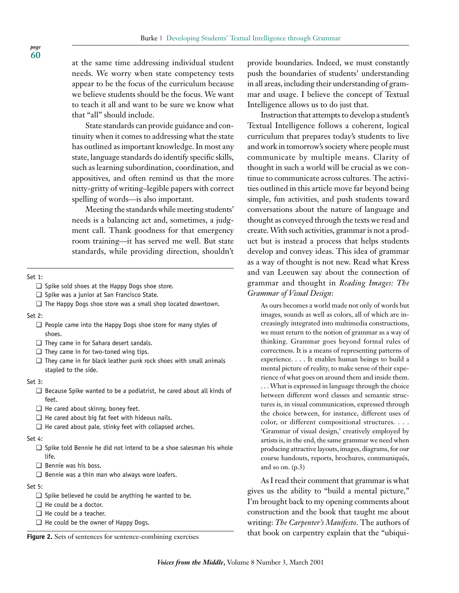at the same time addressing individual student needs. We worry when state competency tests appear to be the focus of the curriculum because we believe students should be the focus. We want to teach it all and want to be sure we know what that "all" should include.

State standards can provide guidance and continuity when it comes to addressing what the state has outlined as important knowledge. In most any state, language standards do identify specific skills, such as learning subordination, coordination, and appositives, and often remind us that the more nitty-gritty of writing–legible papers with correct spelling of words—is also important.

Meeting the standards while meeting students' needs is a balancing act and, sometimes, a judgment call. Thank goodness for that emergency room training—it has served me well. But state standards, while providing direction, shouldn't

#### Set 1:

- ❑ Spike sold shoes at the Happy Dogs shoe store.
- ❑ Spike was a junior at San Francisco State.
- ❑ The Happy Dogs shoe store was a small shop located downtown.

#### Set 2:

- ❑ People came into the Happy Dogs shoe store for many styles of shoes.
- ❑ They came in for Sahara desert sandals.
- ❑ They came in for two-toned wing tips.
- $\Box$  They came in for black leather punk rock shoes with small animals stapled to the side.

#### Set 3:

- ❑ Because Spike wanted to be a podiatrist, he cared about all kinds of feet.
- ❑ He cared about skinny, boney feet.
- ❑ He cared about big fat feet with hideous nails.
- ❑ He cared about pale, stinky feet with collapsed arches.

#### Set 4:

- ❑ Spike told Bennie he did not intend to be a shoe salesman his whole life.
- ❑ Bennie was his boss.
- ❑ Bennie was a thin man who always wore loafers.

## Set 5:

- $\Box$  Spike believed he could be anything he wanted to be.
- ❑ He could be a doctor.
- ❑ He could be a teacher.
- ❑ He could be the owner of Happy Dogs.

provide boundaries. Indeed, we must constantly push the boundaries of students' understanding in all areas, including their understanding of grammar and usage. I believe the concept of Textual Intelligence allows us to do just that.

Instruction that attempts to develop a student's Textual Intelligence follows a coherent, logical curriculum that prepares today's students to live and work in tomorrow's society where people must communicate by multiple means. Clarity of thought in such a world will be crucial as we continue to communicate across cultures. The activities outlined in this article move far beyond being simple, fun activities, and push students toward conversations about the nature of language and thought as conveyed through the texts we read and create. With such activities, grammar is not a product but is instead a process that helps students develop and convey ideas. This idea of grammar as a way of thought is not new. Read what Kress and van Leeuwen say about the connection of grammar and thought in *Reading Images: The Grammar of Visual Design*:

As ours becomes a world made not only of words but images, sounds as well as colors, all of which are increasingly integrated into multimedia constructions, we must return to the notion of grammar as a way of thinking. Grammar goes beyond formal rules of correctness. It is a means of representing patterns of experience. . . . It enables human beings to build a mental picture of reality, to make sense of their experience of what goes on around them and inside them. . . . What is expressed in language through the choice between different word classes and semantic structures is, in visual communication, expressed through the choice between, for instance, different uses of color, or different compositional structures. . . . 'Grammar of visual design,' creatively employed by artists is, in the end, the same grammar we need when producing attractive layouts, images, diagrams, for our course handouts, reports, brochures, communiqués, and so on. (p.3)

As I read their comment that grammar is what gives us the ability to "build a mental picture," I'm brought back to my opening comments about construction and the book that taught me about writing: *The Carpenter's Manifesto*. The authors of **Figure 2.** Sets of sentences for sentence-combining exercises that book on carpentry explain that the "ubiqui